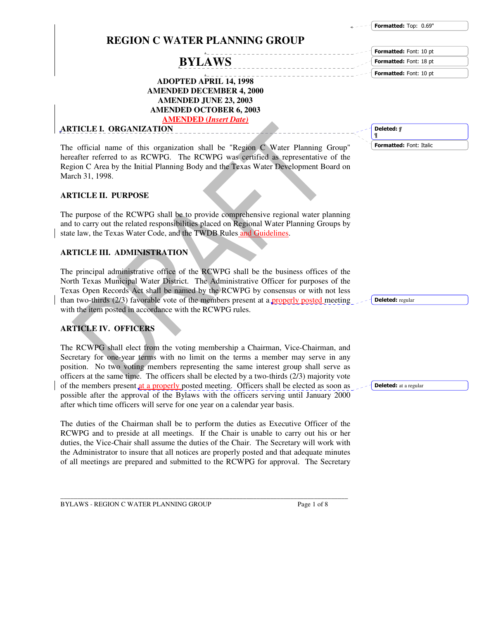Formatted: Top: 0.69"

Formatted: Font: 10 pt Formatted: Font: 18 pt Formatted: Font: 10 pt

## **REGION C WATER PLANNING GROUP**

# **BYLAWS**

**ADOPTED APRIL 14, 1998 AMENDED DECEMBER 4, 2000 AMENDED JUNE 23, 2003 AMENDED OCTOBER 6, 2003 AMENDED (***Insert Date)*

**ARTICLE I. ORGANIZATION**

The official name of this organization shall be "Region C Water Planning Group" hereafter referred to as RCWPG. The RCWPG was certified as representative of the Region C Area by the Initial Planning Body and the Texas Water Development Board on March 31, 1998.

## **ARTICLE II. PURPOSE**

The purpose of the RCWPG shall be to provide comprehensive regional water planning and to carry out the related responsibilities placed on Regional Water Planning Groups by state law, the Texas Water Code, and the TWDB Rules and Guidelines.

## **ARTICLE III. ADMINISTRATION**

The principal administrative office of the RCWPG shall be the business offices of the North Texas Municipal Water District. The Administrative Officer for purposes of the Texas Open Records Act shall be named by the RCWPG by consensus or with not less than two-thirds  $(2/3)$  favorable vote of the members present at a properly posted meeting with the item posted in accordance with the RCWPG rules.

## **ARTICLE IV. OFFICERS**

The RCWPG shall elect from the voting membership a Chairman, Vice-Chairman, and Secretary for one-year terms with no limit on the terms a member may serve in any position. No two voting members representing the same interest group shall serve as officers at the same time. The officers shall be elected by a two-thirds (2/3) majority vote of the members present at a properly posted meeting. Officers shall be elected as soon as possible after the approval of the Bylaws with the officers serving until January 2000 after which time officers will serve for one year on a calendar year basis.

The duties of the Chairman shall be to perform the duties as Executive Officer of the RCWPG and to preside at all meetings. If the Chair is unable to carry out his or her duties, the Vice-Chair shall assume the duties of the Chair. The Secretary will work with the Administrator to insure that all notices are properly posted and that adequate minutes of all meetings are prepared and submitted to the RCWPG for approval. The Secretary

 *¶* **¶**

Formatted: Font: Italic

Deleted: regular

Deleted: at a regular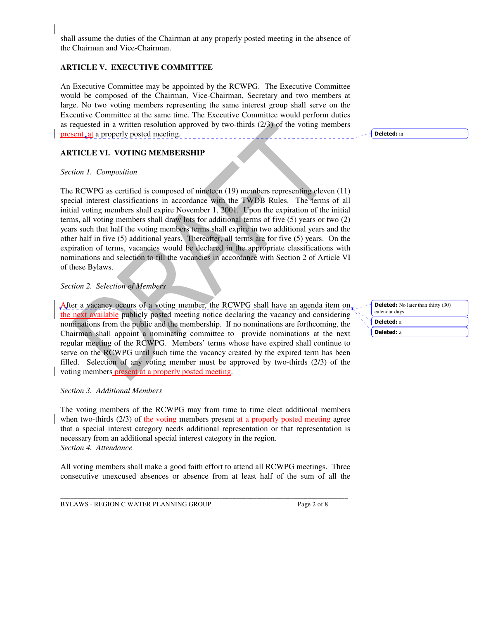shall assume the duties of the Chairman at any properly posted meeting in the absence of the Chairman and Vice-Chairman.

## **ARTICLE V. EXECUTIVE COMMITTEE**

An Executive Committee may be appointed by the RCWPG. The Executive Committee would be composed of the Chairman, Vice-Chairman, Secretary and two members at large. No two voting members representing the same interest group shall serve on the Executive Committee at the same time. The Executive Committee would perform duties as requested in a written resolution approved by two-thirds (2/3) of the voting members present, at a properly posted meeting.

**ARTICLE VI. VOTING MEMBERSHIP**

#### *Section 1. Composition*

The RCWPG as certified is composed of nineteen (19) members representing eleven (11) special interest classifications in accordance with the TWDB Rules. The terms of all initial voting members shall expire November 1, 2001. Upon the expiration of the initial terms, all voting members shall draw lots for additional terms of five (5) years or two (2) years such that half the voting members terms shall expire in two additional years and the other half in five (5) additional years. Thereafter, all terms are for five (5) years. On the expiration of terms, vacancies would be declared in the appropriate classifications with nominations and selection to fill the vacancies in accordance with Section 2 of Article VI of these Bylaws.

#### *Section 2. Selection of Members*

After a vacancy occurs of a voting member, the RCWPG shall have an agenda item on the next available publicly posted meeting notice declaring the vacancy and considering nominations from the public and the membership. If no nominations are forthcoming, the Chairman shall appoint a nominating committee to provide nominations at the next regular meeting of the RCWPG. Members' terms whose have expired shall continue to serve on the RCWPG until such time the vacancy created by the expired term has been filled. Selection of any voting member must be approved by two-thirds (2/3) of the voting members present at a properly posted meeting.

#### *Section 3. Additional Members*

The voting members of the RCWPG may from time to time elect additional members when two-thirds (2/3) of the voting members present at a properly posted meeting agree that a special interest category needs additional representation or that representation is necessary from an additional special interest category in the region. *Section 4. Attendance*

All voting members shall make a good faith effort to attend all RCWPG meetings. Three consecutive unexcused absences or absence from at least half of the sum of all the

\_\_\_\_\_\_\_\_\_\_\_\_\_\_\_\_\_\_\_\_\_\_\_\_\_\_\_\_\_\_\_\_\_\_\_\_\_\_\_\_\_\_\_\_\_\_\_\_\_\_\_\_\_\_\_\_\_\_\_\_\_\_\_\_\_\_\_\_\_\_\_\_\_\_\_\_\_\_\_\_\_\_\_\_\_ BYLAWS - REGION C WATER PLANNING GROUP Page 2 of 8

**Deleted:** No later than thirty (30) calendar days Deleted: a Deleted: a

Deleted: in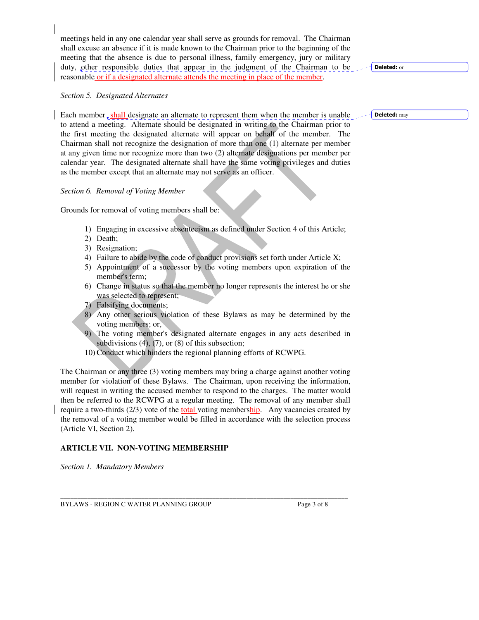meetings held in any one calendar year shall serve as grounds for removal. The Chairman shall excuse an absence if it is made known to the Chairman prior to the beginning of the meeting that the absence is due to personal illness, family emergency, jury or military duty, other responsible duties that appear in the judgment of the Chairman to be reasonable or if a designated alternate attends the meeting in place of the member.

#### *Section 5. Designated Alternates*

Each member, shall designate an alternate to represent them when the member is unable to attend a meeting. Alternate should be designated in writing to the Chairman prior to the first meeting the designated alternate will appear on behalf of the member. The Chairman shall not recognize the designation of more than one (1) alternate per member at any given time nor recognize more than two (2) alternate designations per member per calendar year. The designated alternate shall have the same voting privileges and duties as the member except that an alternate may not serve as an officer.

*Section 6. Removal of Voting Member*

Grounds for removal of voting members shall be:

- 1) Engaging in excessive absenteeism as defined under Section 4 of this Article;
- 2) Death;
- 3) Resignation;
- 4) Failure to abide by the code of conduct provisions set forth under Article X;
- 5) Appointment of a successor by the voting members upon expiration of the member's term;
- 6) Change in status so that the member no longer represents the interest he or she was selected to represent;
- Falsifying documents;
- 8) Any other serious violation of these Bylaws as may be determined by the voting members; or,
- 9) The voting member's designated alternate engages in any acts described in subdivisions  $(4)$ ,  $(7)$ , or  $(8)$  of this subsection;
- 10) Conduct which hinders the regional planning efforts of RCWPG.

The Chairman or any three (3) voting members may bring a charge against another voting member for violation of these Bylaws. The Chairman, upon receiving the information, will request in writing the accused member to respond to the charges. The matter would then be referred to the RCWPG at a regular meeting. The removal of any member shall require a two-thirds  $(2/3)$  vote of the total voting membership. Any vacancies created by the removal of a voting member would be filled in accordance with the selection process (Article VI, Section 2).

## **ARTICLE VII. NON-VOTING MEMBERSHIP**

*Section 1. Mandatory Members*

\_\_\_\_\_\_\_\_\_\_\_\_\_\_\_\_\_\_\_\_\_\_\_\_\_\_\_\_\_\_\_\_\_\_\_\_\_\_\_\_\_\_\_\_\_\_\_\_\_\_\_\_\_\_\_\_\_\_\_\_\_\_\_\_\_\_\_\_\_\_\_\_\_\_\_\_\_\_\_\_\_\_\_\_\_ BYLAWS - REGION C WATER PLANNING GROUP Page 3 of 8

Deleted: or

Deleted: may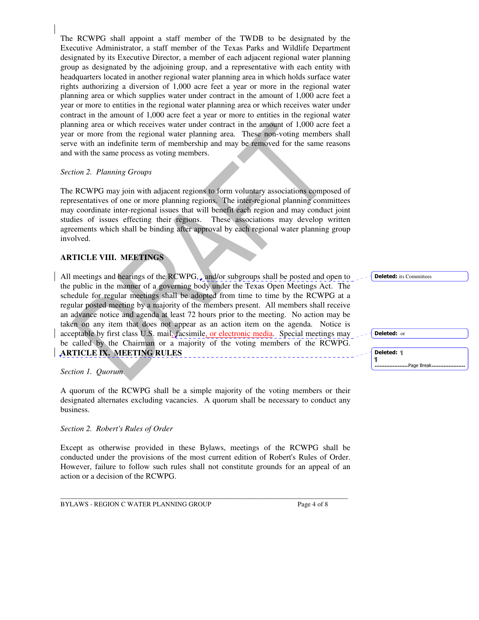The RCWPG shall appoint a staff member of the TWDB to be designated by the Executive Administrator, a staff member of the Texas Parks and Wildlife Department designated by its Executive Director, a member of each adjacent regional water planning group as designated by the adjoining group, and a representative with each entity with headquarters located in another regional water planning area in which holds surface water rights authorizing a diversion of 1,000 acre feet a year or more in the regional water planning area or which supplies water under contract in the amount of 1,000 acre feet a year or more to entities in the regional water planning area or which receives water under contract in the amount of 1,000 acre feet a year or more to entities in the regional water planning area or which receives water under contract in the amount of 1,000 acre feet a year or more from the regional water planning area. These non-voting members shall serve with an indefinite term of membership and may be removed for the same reasons and with the same process as voting members.

#### *Section 2. Planning Groups*

The RCWPG may join with adjacent regions to form voluntary associations composed of representatives of one or more planning regions. The inter-regional planning committees may coordinate inter-regional issues that will benefit each region and may conduct joint studies of issues effecting their regions. These associations may develop written agreements which shall be binding after approval by each regional water planning group involved.

## **ARTICLE VIII. MEETINGS**

All meetings and hearings of the RCWPG, and/or subgroups shall be posted and open to the public in the manner of a governing body under the Texas Open Meetings Act. The schedule for regular meetings shall be adopted from time to time by the RCWPG at a regular posted meeting by a majority of the members present. All members shall receive an advance notice and agenda at least 72 hours prior to the meeting. No action may be taken on any item that does not appear as an action item on the agenda. Notice is acceptable by first class U.S. mail, facsimile, or electronic media. Special meetings may be called by the Chairman or a majority of the voting members of the RCWPG. **ARTICLE IX. MEETING RULES**

#### *Section 1. Quorum*

A quorum of the RCWPG shall be a simple majority of the voting members or their designated alternates excluding vacancies. A quorum shall be necessary to conduct any business.

#### *Section 2. Robert's Rules of Order*

Except as otherwise provided in these Bylaws, meetings of the RCWPG shall be conducted under the provisions of the most current edition of Robert's Rules of Order. However, failure to follow such rules shall not constitute grounds for an appeal of an action or a decision of the RCWPG.

\_\_\_\_\_\_\_\_\_\_\_\_\_\_\_\_\_\_\_\_\_\_\_\_\_\_\_\_\_\_\_\_\_\_\_\_\_\_\_\_\_\_\_\_\_\_\_\_\_\_\_\_\_\_\_\_\_\_\_\_\_\_\_\_\_\_\_\_\_\_\_\_\_\_\_\_\_\_\_\_\_\_\_\_\_

BYLAWS - REGION C WATER PLANNING GROUP Page 4 of 8

| <b>Deleted:</b> its Committees |  |  |
|--------------------------------|--|--|
|                                |  |  |
|                                |  |  |
|                                |  |  |
|                                |  |  |
|                                |  |  |
|                                |  |  |
| Deleted: or                    |  |  |
|                                |  |  |
|                                |  |  |
| Deleted: ¶                     |  |  |
| -Page Break -                  |  |  |
|                                |  |  |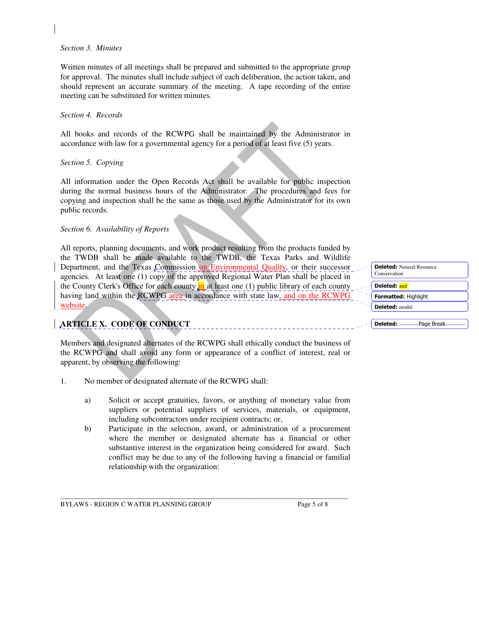#### *Section 3. Minutes*

Written minutes of all meetings shall be prepared and submitted to the appropriate group for approval. The minutes shall include subject of each deliberation, the action taken, and should represent an accurate summary of the meeting. A tape recording of the entire meeting can be substituted for written minutes.

#### *Section 4. Records*

All books and records of the RCWPG shall be maintained by the Administrator in accordance with law for a governmental agency for a period of at least five (5) years.

#### *Section 5. Copying*

All information under the Open Records Act shall be available for public inspection during the normal business hours of the Administrator. The procedures and fees for copying and inspection shall be the same as those used by the Administrator for its own public records.

#### *Section 6. Availability of Reports*

All reports, planning documents, and work product resulting from the products funded by the TWDB shall be made available to the TWDB, the Texas Parks and Wildlife Department, and the Texas Commission on Environmental Quality, or their successor agencies. At least one (1) copy of the approved Regional Water Plan shall be placed in the County Clerk's Office for each county in at least one (1) public library of each county having land within the RCWPG area in accordance with state law, and on the RCWPG website.

## **ARTICLE X. CODE OF CONDUCT**

Members and designated alternates of the RCWPG shall ethically conduct the business of the RCWPG and shall avoid any form or appearance of a conflict of interest, real or apparent, by observing the following:

- 1. No member or designated alternate of the RCWPG shall:
	- a) Solicit or accept gratuities, favors, or anything of monetary value from suppliers or potential suppliers of services, materials, or equipment, including subcontractors under recipient contracts; or,
	- b) Participate in the selection, award, or administration of a procurement where the member or designated alternate has a financial or other substantive interest in the organization being considered for award. Such conflict may be due to any of the following having a financial or familial relationship with the organization:

\_\_\_\_\_\_\_\_\_\_\_\_\_\_\_\_\_\_\_\_\_\_\_\_\_\_\_\_\_\_\_\_\_\_\_\_\_\_\_\_\_\_\_\_\_\_\_\_\_\_\_\_\_\_\_\_\_\_\_\_\_\_\_\_\_\_\_\_\_\_\_\_\_\_\_\_\_\_\_\_\_\_\_\_\_

BYLAWS - REGION C WATER PLANNING GROUP Page 5 of 8

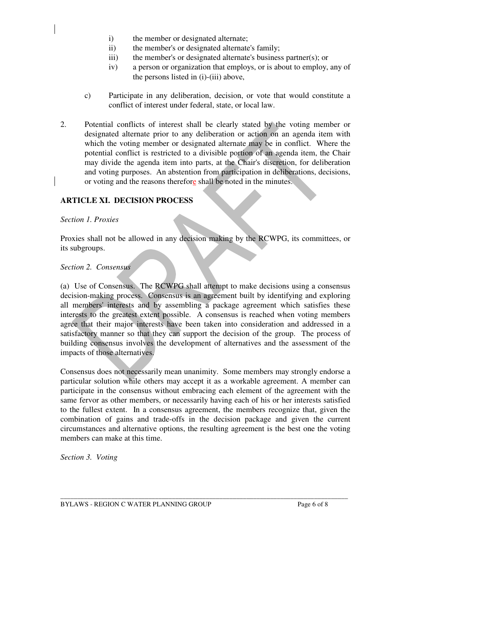- i) the member or designated alternate;
- ii) the member's or designated alternate's family;
- iii) the member's or designated alternate's business partner(s); or
- iv) a person or organization that employs, or is about to employ, any of the persons listed in (i)-(iii) above,
- c) Participate in any deliberation, decision, or vote that would constitute a conflict of interest under federal, state, or local law.
- 2. Potential conflicts of interest shall be clearly stated by the voting member or designated alternate prior to any deliberation or action on an agenda item with which the voting member or designated alternate may be in conflict. Where the potential conflict is restricted to a divisible portion of an agenda item, the Chair may divide the agenda item into parts, at the Chair's discretion, for deliberation and voting purposes. An abstention from participation in deliberations, decisions, or voting and the reasons therefore shall be noted in the minutes.

#### **ARTICLE XI. DECISION PROCESS**

#### *Section 1. Proxies*

Proxies shall not be allowed in any decision making by the RCWPG, its committees, or its subgroups.

#### *Section 2. Consensus*

(a) Use of Consensus. The RCWPG shall attempt to make decisions using a consensus decision-making process. Consensus is an agreement built by identifying and exploring all members'interests and by assembling a package agreement which satisfies these interests to the greatest extent possible. A consensus is reached when voting members agree that their major interests have been taken into consideration and addressed in a satisfactory manner so that they can support the decision of the group. The process of building consensus involves the development of alternatives and the assessment of the impacts of those alternatives.

Consensus does not necessarily mean unanimity. Some members may strongly endorse a particular solution while others may accept it as a workable agreement. A member can participate in the consensus without embracing each element of the agreement with the same fervor as other members, or necessarily having each of his or her interests satisfied to the fullest extent. In a consensus agreement, the members recognize that, given the combination of gains and trade-offs in the decision package and given the current circumstances and alternative options, the resulting agreement is the best one the voting members can make at this time.

*Section 3. Voting*

\_\_\_\_\_\_\_\_\_\_\_\_\_\_\_\_\_\_\_\_\_\_\_\_\_\_\_\_\_\_\_\_\_\_\_\_\_\_\_\_\_\_\_\_\_\_\_\_\_\_\_\_\_\_\_\_\_\_\_\_\_\_\_\_\_\_\_\_\_\_\_\_\_\_\_\_\_\_\_\_\_\_\_\_\_ BYLAWS - REGION C WATER PLANNING GROUP Page 6 of 8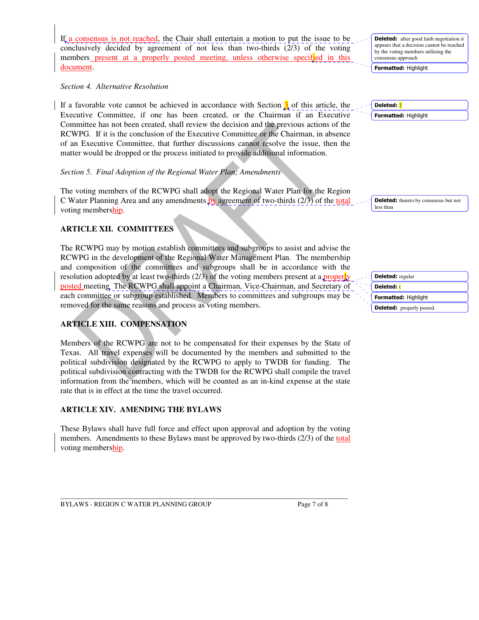If a consensus is not reached, the Chair shall entertain a motion to put the issue to be conclusively decided by agreement of not less than two-thirds (2/3) of the voting members present at a properly posted meeting, unless otherwise specified in this document.

*Section 4. Alternative Resolution*

If a favorable vote cannot be achieved in accordance with Section  $\beta$  of this article, the Executive Committee, if one has been created, or the Chairman if an Executive Committee has not been created, shall review the decision and the previous actions of the RCWPG. If it is the conclusion of the Executive Committee or the Chairman, in absence of an Executive Committee, that further discussions cannot resolve the issue, then the matter would be dropped or the process initiated to provide additional information.

## *Section 5. Final Adoption of the Regional Water Plan; Amendments*

The voting members of the RCWPG shall adopt the Regional Water Plan for the Region C Water Planning Area and any amendments by agreement of two-thirds (2/3) of the total voting membership.

## **ARTICLE XII. COMMITTEES**

The RCWPG may by motion establish committees and subgroups to assist and advise the RCWPG in the development of the Regional Water Management Plan. The membership and composition of the committees and subgroups shall be in accordance with the resolution adopted by at least two-thirds  $(2/3)$  of the voting members present at a properly posted meeting The RCWPG shall appoint a Chairman, Vice-Chairman, and Secretary of each committee or subgroup established. Members to committees and subgroups may be removed for the same reasons and process as voting members.

## **ARTICLE XIII. COMPENSATION**

Members of the RCWPG are not to be compensated for their expenses by the State of Texas. All travel expenses will be documented by the members and submitted to the political subdivision designated by the RCWPG to apply to TWDB for funding. The political subdivision contracting with the TWDB for the RCWPG shall compile the travel information from the members, which will be counted as an in-kind expense at the state rate that is in effect at the time the travel occurred.

## **ARTICLE XIV. AMENDING THE BYLAWS**

These Bylaws shall have full force and effect upon approval and adoption by the voting members. Amendments to these Bylaws must be approved by two-thirds (2/3) of the total voting membership.

\_\_\_\_\_\_\_\_\_\_\_\_\_\_\_\_\_\_\_\_\_\_\_\_\_\_\_\_\_\_\_\_\_\_\_\_\_\_\_\_\_\_\_\_\_\_\_\_\_\_\_\_\_\_\_\_\_\_\_\_\_\_\_\_\_\_\_\_\_\_\_\_\_\_\_\_\_\_\_\_\_\_\_\_\_

BYLAWS - REGION C WATER PLANNING GROUP Page 7 of 8

**Deleted:** after good faith negotiation it appears that a decision cannot be reached by the voting members utilizing the consensus approach

Formatted: Highlight

Formatted: Highlight Deleted: <mark>2</mark>

Deleted: thereto by consensus but not less than